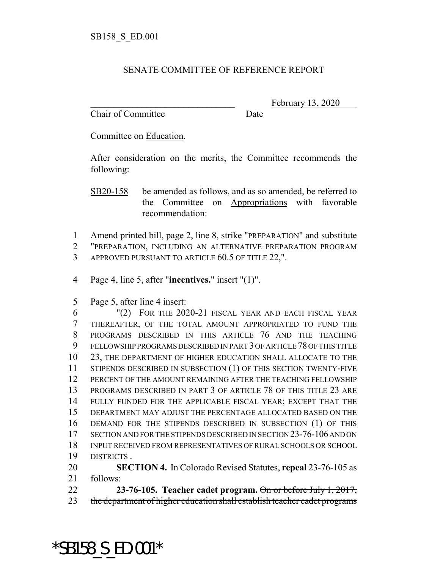## SENATE COMMITTEE OF REFERENCE REPORT

Chair of Committee Date

February 13, 2020

Committee on Education.

After consideration on the merits, the Committee recommends the following:

SB20-158 be amended as follows, and as so amended, be referred to the Committee on Appropriations with favorable recommendation:

 Amend printed bill, page 2, line 8, strike "PREPARATION" and substitute "PREPARATION, INCLUDING AN ALTERNATIVE PREPARATION PROGRAM APPROVED PURSUANT TO ARTICLE 60.5 OF TITLE 22,".

Page 4, line 5, after "**incentives.**" insert "(1)".

Page 5, after line 4 insert:

 "(2) FOR THE 2020-21 FISCAL YEAR AND EACH FISCAL YEAR THEREAFTER, OF THE TOTAL AMOUNT APPROPRIATED TO FUND THE PROGRAMS DESCRIBED IN THIS ARTICLE 76 AND THE TEACHING FELLOWSHIP PROGRAMS DESCRIBED IN PART 3 OF ARTICLE 78 OF THIS TITLE 23, THE DEPARTMENT OF HIGHER EDUCATION SHALL ALLOCATE TO THE 11 STIPENDS DESCRIBED IN SUBSECTION (1) OF THIS SECTION TWENTY-FIVE PERCENT OF THE AMOUNT REMAINING AFTER THE TEACHING FELLOWSHIP PROGRAMS DESCRIBED IN PART 3 OF ARTICLE 78 OF THIS TITLE 23 ARE FULLY FUNDED FOR THE APPLICABLE FISCAL YEAR; EXCEPT THAT THE DEPARTMENT MAY ADJUST THE PERCENTAGE ALLOCATED BASED ON THE DEMAND FOR THE STIPENDS DESCRIBED IN SUBSECTION (1) OF THIS SECTION AND FOR THE STIPENDS DESCRIBED IN SECTION 23-76-106 AND ON INPUT RECEIVED FROM REPRESENTATIVES OF RURAL SCHOOLS OR SCHOOL DISTRICTS .

 **SECTION 4.** In Colorado Revised Statutes, **repeal** 23-76-105 as follows:

 **23-76-105. Teacher cadet program.** On or before July 1, 2017, 23 the department of higher education shall establish teacher cadet programs

\*SB158\_S\_ED.001\*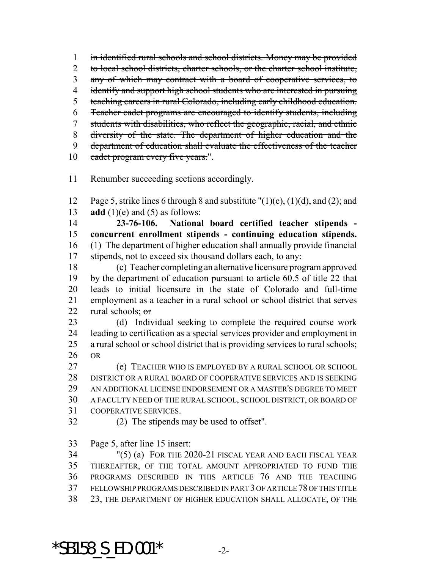in identified rural schools and school districts. Money may be provided 2 to local school districts, charter schools, or the charter school institute, any of which may contract with a board of cooperative services, to 4 identify and support high school students who are interested in pursuing teaching careers in rural Colorado, including early childhood education. Teacher cadet programs are encouraged to identify students, including students with disabilities, who reflect the geographic, racial, and ethnic diversity of the state. The department of higher education and the 9 department of education shall evaluate the effectiveness of the teacher 10 cadet program every five years.".

Renumber succeeding sections accordingly.

12 Page 5, strike lines 6 through 8 and substitute  $\Gamma(1)(c)$ ,  $(1)(d)$ , and  $(2)$ ; and 13  $\text{add}(1)(e)$  and (5) as follows:

 **23-76-106. National board certified teacher stipends - concurrent enrollment stipends - continuing education stipends.** (1) The department of higher education shall annually provide financial stipends, not to exceed six thousand dollars each, to any:

 (c) Teacher completing an alternative licensure program approved by the department of education pursuant to article 60.5 of title 22 that leads to initial licensure in the state of Colorado and full-time employment as a teacher in a rural school or school district that serves 22 rural schools;  $\sigma$ 

 (d) Individual seeking to complete the required course work leading to certification as a special services provider and employment in a rural school or school district that is providing services to rural schools; OR

 (e) TEACHER WHO IS EMPLOYED BY A RURAL SCHOOL OR SCHOOL DISTRICT OR A RURAL BOARD OF COOPERATIVE SERVICES AND IS SEEKING AN ADDITIONAL LICENSE ENDORSEMENT OR A MASTER'S DEGREE TO MEET A FACULTY NEED OF THE RURAL SCHOOL, SCHOOL DISTRICT, OR BOARD OF COOPERATIVE SERVICES.

(2) The stipends may be used to offset".

Page 5, after line 15 insert:

 "(5) (a) FOR THE 2020-21 FISCAL YEAR AND EACH FISCAL YEAR THEREAFTER, OF THE TOTAL AMOUNT APPROPRIATED TO FUND THE PROGRAMS DESCRIBED IN THIS ARTICLE 76 AND THE TEACHING FELLOWSHIP PROGRAMS DESCRIBED IN PART 3 OF ARTICLE 78 OF THIS TITLE 23, THE DEPARTMENT OF HIGHER EDUCATION SHALL ALLOCATE, OF THE

\*SB158 S ED.001\*  $-2$ -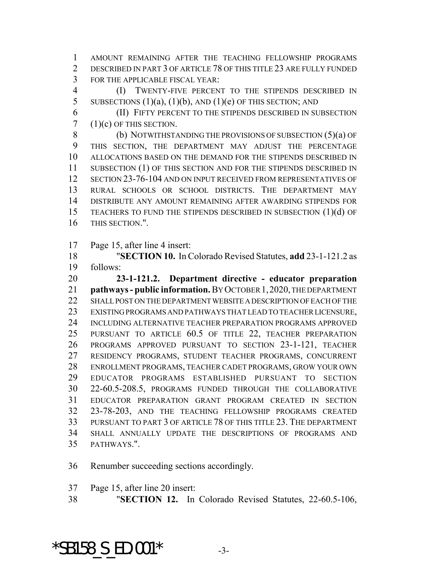AMOUNT REMAINING AFTER THE TEACHING FELLOWSHIP PROGRAMS DESCRIBED IN PART 3 OF ARTICLE 78 OF THIS TITLE 23 ARE FULLY FUNDED FOR THE APPLICABLE FISCAL YEAR:

 (I) TWENTY-FIVE PERCENT TO THE STIPENDS DESCRIBED IN 5 SUBSECTIONS  $(1)(a)$ ,  $(1)(b)$ , AND  $(1)(e)$  OF THIS SECTION; AND

 (II) FIFTY PERCENT TO THE STIPENDS DESCRIBED IN SUBSECTION  $7(1)(c)$  OF THIS SECTION.

8 (b) NOTWITHSTANDING THE PROVISIONS OF SUBSECTION (5)(a) OF THIS SECTION, THE DEPARTMENT MAY ADJUST THE PERCENTAGE ALLOCATIONS BASED ON THE DEMAND FOR THE STIPENDS DESCRIBED IN 11 SUBSECTION (1) OF THIS SECTION AND FOR THE STIPENDS DESCRIBED IN SECTION 23-76-104 AND ON INPUT RECEIVED FROM REPRESENTATIVES OF RURAL SCHOOLS OR SCHOOL DISTRICTS. THE DEPARTMENT MAY DISTRIBUTE ANY AMOUNT REMAINING AFTER AWARDING STIPENDS FOR TEACHERS TO FUND THE STIPENDS DESCRIBED IN SUBSECTION (1)(d) OF THIS SECTION.".

Page 15, after line 4 insert:

 "**SECTION 10.** In Colorado Revised Statutes, **add** 23-1-121.2 as follows:

 **23-1-121.2. Department directive - educator preparation pathways - public information.** BY OCTOBER 1,2020, THE DEPARTMENT 22 SHALL POST ON THE DEPARTMENT WEBSITE A DESCRIPTION OF EACH OF THE EXISTING PROGRAMS AND PATHWAYS THAT LEAD TO TEACHER LICENSURE, INCLUDING ALTERNATIVE TEACHER PREPARATION PROGRAMS APPROVED PURSUANT TO ARTICLE 60.5 OF TITLE 22, TEACHER PREPARATION PROGRAMS APPROVED PURSUANT TO SECTION 23-1-121, TEACHER RESIDENCY PROGRAMS, STUDENT TEACHER PROGRAMS, CONCURRENT ENROLLMENT PROGRAMS, TEACHER CADET PROGRAMS, GROW YOUR OWN EDUCATOR PROGRAMS ESTABLISHED PURSUANT TO SECTION 22-60.5-208.5, PROGRAMS FUNDED THROUGH THE COLLABORATIVE EDUCATOR PREPARATION GRANT PROGRAM CREATED IN SECTION 23-78-203, AND THE TEACHING FELLOWSHIP PROGRAMS CREATED PURSUANT TO PART 3 OF ARTICLE 78 OF THIS TITLE 23. THE DEPARTMENT SHALL ANNUALLY UPDATE THE DESCRIPTIONS OF PROGRAMS AND PATHWAYS.".

Renumber succeeding sections accordingly.

Page 15, after line 20 insert:

"**SECTION 12.** In Colorado Revised Statutes, 22-60.5-106,

\*SB158 S ED.001\*  $-3$ -